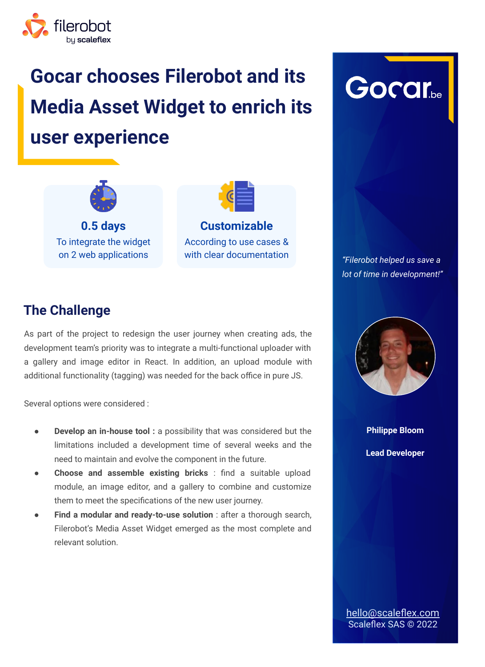

# **Gocar chooses Filerobot and its Media Asset Widget to enrich its user experience**





According to use cases & with clear documentation

Gorar

*"Filerobot helped us save a lot of time in development!"*

#### **The Challenge**

As part of the project to redesign the user journey when creating ads, the development team's priority was to integrate a multi-functional uploader with a gallery and image editor in React. In addition, an upload module with additional functionality (tagging) was needed for the back office in pure JS.

Several options were considered :

- **Develop an in-house tool :** a possibility that was considered but the limitations included a development time of several weeks and the need to maintain and evolve the component in the future.
- **Choose and assemble existing bricks** : find a suitable upload module, an image editor, and a gallery to combine and customize them to meet the specifications of the new user journey.
- **Find a modular and ready-to-use solution** : after a thorough search, Filerobot's Media Asset Widget emerged as the most complete and relevant solution.



**Philippe Bloom Lead Developer**

[hello@scaleflex.com](mailto:hello@scaleflex.com) Scaleflex SAS © 2022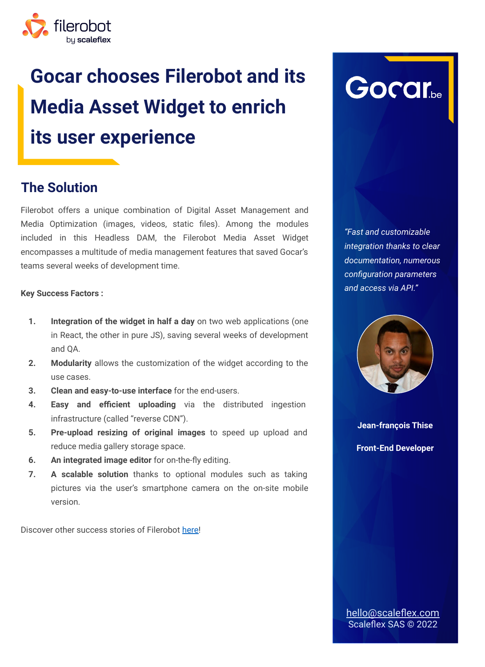

# **Gocar chooses Filerobot and its Media Asset Widget to enrich its user experience**

### **The Solution**

Filerobot offers a unique combination of Digital Asset Management and Media Optimization (images, videos, static files). Among the modules included in this Headless DAM, the Filerobot Media Asset Widget encompasses a multitude of media management features that saved Gocar's teams several weeks of development time.

#### **Key Success Factors :**

- **1. Integration of the widget in half a day** on two web applications (one in React, the other in pure JS), saving several weeks of development and QA.
- **2. Modularity** allows the customization of the widget according to the use cases.
- **3. Clean and easy-to-use interface** for the end-users.
- **4. Easy and efficient uploading** via the distributed ingestion infrastructure (called "reverse CDN").
- **5. Pre-upload resizing of original images** to speed up upload and reduce media gallery storage space.
- **6. An integrated image editor** for on-the-fly editing.
- **7. A scalable solution** thanks to optional modules such as taking pictures via the user's smartphone camera on the on-site mobile version.

Discover other success stories of Filerobot [here!](https://www.scaleflex.com/en/customers-success-stories)



*"Fast and customizable integration thanks to clear documentation, numerous configuration parameters and access via API."*



**Jean-françois Thise Front-End Developer**

[hello@scaleflex.com](mailto:hello@scaleflex.com) Scaleflex SAS © 2022